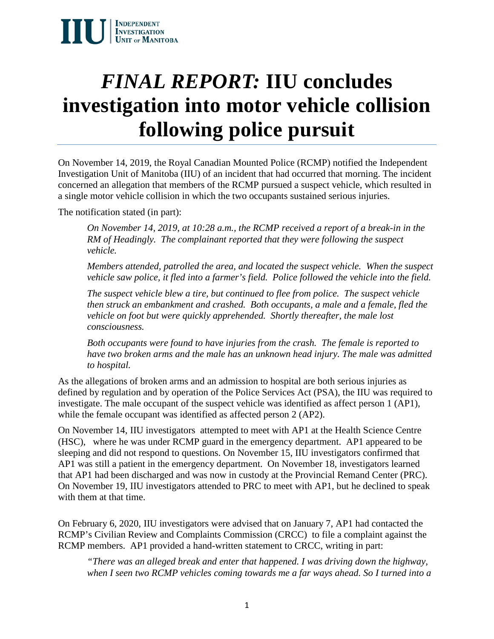# *FINAL REPORT:* **IIU concludes investigation into motor vehicle collision following police pursuit**

On November 14, 2019, the Royal Canadian Mounted Police (RCMP) notified the Independent Investigation Unit of Manitoba (IIU) of an incident that had occurred that morning. The incident concerned an allegation that members of the RCMP pursued a suspect vehicle, which resulted in a single motor vehicle collision in which the two occupants sustained serious injuries.

The notification stated (in part):

*On November 14, 2019, at 10:28 a.m., the RCMP received a report of a break-in in the RM of Headingly. The complainant reported that they were following the suspect vehicle.*

*Members attended, patrolled the area, and located the suspect vehicle. When the suspect vehicle saw police, it fled into a farmer's field. Police followed the vehicle into the field.*

*The suspect vehicle blew a tire, but continued to flee from police. The suspect vehicle then struck an embankment and crashed. Both occupants, a male and a female, fled the vehicle on foot but were quickly apprehended. Shortly thereafter, the male lost consciousness.*

*Both occupants were found to have injuries from the crash. The female is reported to have two broken arms and the male has an unknown head injury. The male was admitted to hospital.*

As the allegations of broken arms and an admission to hospital are both serious injuries as defined by regulation and by operation of the Police Services Act (PSA), the IIU was required to investigate. The male occupant of the suspect vehicle was identified as affect person 1 (AP1), while the female occupant was identified as affected person 2 (AP2).

On November 14, IIU investigators attempted to meet with AP1 at the Health Science Centre (HSC), where he was under RCMP guard in the emergency department. AP1 appeared to be sleeping and did not respond to questions. On November 15, IIU investigators confirmed that AP1 was still a patient in the emergency department. On November 18, investigators learned that AP1 had been discharged and was now in custody at the Provincial Remand Center (PRC). On November 19, IIU investigators attended to PRC to meet with AP1, but he declined to speak with them at that time.

On February 6, 2020, IIU investigators were advised that on January 7, AP1 had contacted the RCMP's Civilian Review and Complaints Commission (CRCC) to file a complaint against the RCMP members. AP1 provided a hand-written statement to CRCC, writing in part:

*"There was an alleged break and enter that happened. I was driving down the highway, when I seen two RCMP vehicles coming towards me a far ways ahead. So I turned into a*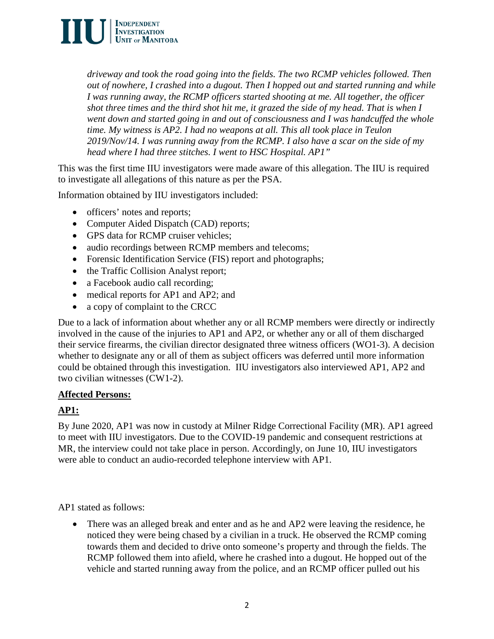

*driveway and took the road going into the fields. The two RCMP vehicles followed. Then out of nowhere, I crashed into a dugout. Then I hopped out and started running and while I was running away, the RCMP officers started shooting at me. All together, the officer shot three times and the third shot hit me, it grazed the side of my head. That is when I went down and started going in and out of consciousness and I was handcuffed the whole time. My witness is AP2. I had no weapons at all. This all took place in Teulon 2019/Nov/14. I was running away from the RCMP. I also have a scar on the side of my head where I had three stitches. I went to HSC Hospital. AP1"*

This was the first time IIU investigators were made aware of this allegation. The IIU is required to investigate all allegations of this nature as per the PSA.

Information obtained by IIU investigators included:

- officers' notes and reports;
- Computer Aided Dispatch (CAD) reports;
- GPS data for RCMP cruiser vehicles;
- audio recordings between RCMP members and telecoms;
- Forensic Identification Service (FIS) report and photographs;
- the Traffic Collision Analyst report;
- a Facebook audio call recording;
- medical reports for AP1 and AP2; and
- a copy of complaint to the CRCC

Due to a lack of information about whether any or all RCMP members were directly or indirectly involved in the cause of the injuries to AP1 and AP2, or whether any or all of them discharged their service firearms, the civilian director designated three witness officers (WO1-3). A decision whether to designate any or all of them as subject officers was deferred until more information could be obtained through this investigation. IIU investigators also interviewed AP1, AP2 and two civilian witnesses (CW1-2).

### **Affected Persons:**

# **AP1:**

By June 2020, AP1 was now in custody at Milner Ridge Correctional Facility (MR). AP1 agreed to meet with IIU investigators. Due to the COVID-19 pandemic and consequent restrictions at MR, the interview could not take place in person. Accordingly, on June 10, IIU investigators were able to conduct an audio-recorded telephone interview with AP1.

AP1 stated as follows:

• There was an alleged break and enter and as he and AP2 were leaving the residence, he noticed they were being chased by a civilian in a truck. He observed the RCMP coming towards them and decided to drive onto someone's property and through the fields. The RCMP followed them into afield, where he crashed into a dugout. He hopped out of the vehicle and started running away from the police, and an RCMP officer pulled out his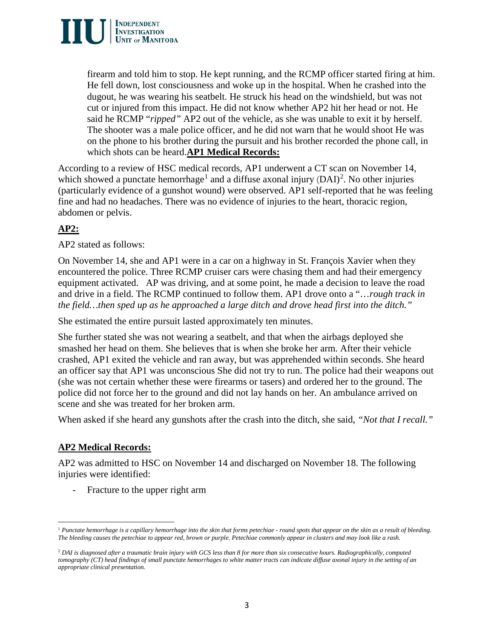

firearm and told him to stop. He kept running, and the RCMP officer started firing at him. He fell down, lost consciousness and woke up in the hospital. When he crashed into the dugout, he was wearing his seatbelt. He struck his head on the windshield, but was not cut or injured from this impact. He did not know whether AP2 hit her head or not. He said he RCMP "*ripped"* AP2 out of the vehicle, as she was unable to exit it by herself. The shooter was a male police officer, and he did not warn that he would shoot He was on the phone to his brother during the pursuit and his brother recorded the phone call, in which shots can be heard.**AP1 Medical Records:**

According to a review of HSC medical records, AP1 underwent a CT scan on November 14, which showed a punctate hemorrhage<sup>[1](#page-2-0)</sup> and a diffuse axonal injury  $(DAI)^2$  $(DAI)^2$ . No other injuries (particularly evidence of a gunshot wound) were observed. AP1 self-reported that he was feeling fine and had no headaches. There was no evidence of injuries to the heart, thoracic region, abdomen or pelvis.

# **AP2:**

AP2 stated as follows:

On November 14, she and AP1 were in a car on a highway in St. François Xavier when they encountered the police. Three RCMP cruiser cars were chasing them and had their emergency equipment activated. AP was driving, and at some point, he made a decision to leave the road and drive in a field. The RCMP continued to follow them. AP1 drove onto a "…*rough track in the field…then sped up as he approached a large ditch and drove head first into the ditch."*

She estimated the entire pursuit lasted approximately ten minutes.

She further stated she was not wearing a seatbelt, and that when the airbags deployed she smashed her head on them. She believes that is when she broke her arm. After their vehicle crashed, AP1 exited the vehicle and ran away, but was apprehended within seconds. She heard an officer say that AP1 was unconscious She did not try to run. The police had their weapons out (she was not certain whether these were firearms or tasers) and ordered her to the ground. The police did not force her to the ground and did not lay hands on her. An ambulance arrived on scene and she was treated for her broken arm.

When asked if she heard any gunshots after the crash into the ditch, she said, *"Not that I recall."*

# **AP2 Medical Records:**

AP2 was admitted to HSC on November 14 and discharged on November 18. The following injuries were identified:

- Fracture to the upper right arm

<span id="page-2-0"></span>l <sup>1</sup> *Punctate hemorrhage is a capillary hemorrhage into the skin that forms petechiae - round spots that appear on the skin as a result of bleeding. The bleeding causes the petechiae to appear red, brown or purple. Petechiae commonly appear in clusters and may look like a rash.*

<span id="page-2-1"></span><sup>2</sup> *DAI is diagnosed after a traumatic brain injury with GCS less than 8 for more than six consecutive hours. Radiographically, computed tomography (CT) head findings of small punctate hemorrhages to white matter tracts can indicate diffuse axonal injury in the setting of an appropriate clinical presentation.*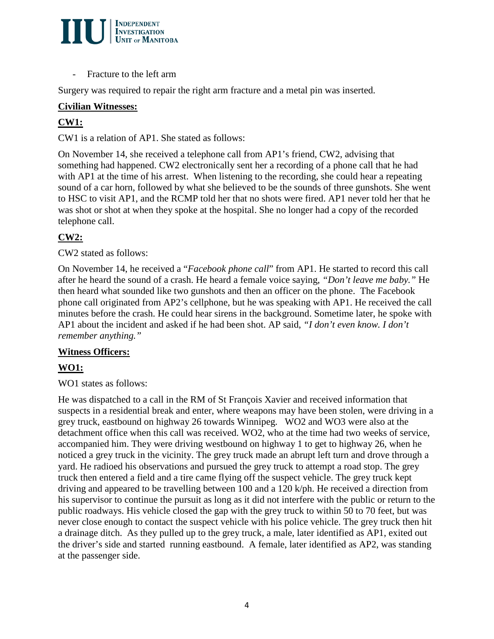

- Fracture to the left arm

Surgery was required to repair the right arm fracture and a metal pin was inserted.

# **Civilian Witnesses:**

# **CW1:**

CW1 is a relation of AP1. She stated as follows:

On November 14, she received a telephone call from AP1's friend, CW2, advising that something had happened. CW2 electronically sent her a recording of a phone call that he had with AP1 at the time of his arrest. When listening to the recording, she could hear a repeating sound of a car horn, followed by what she believed to be the sounds of three gunshots. She went to HSC to visit AP1, and the RCMP told her that no shots were fired. AP1 never told her that he was shot or shot at when they spoke at the hospital. She no longer had a copy of the recorded telephone call.

# **CW2:**

## CW2 stated as follows:

On November 14, he received a "*Facebook phone call*" from AP1. He started to record this call after he heard the sound of a crash. He heard a female voice saying, *"Don't leave me baby."* He then heard what sounded like two gunshots and then an officer on the phone. The Facebook phone call originated from AP2's cellphone, but he was speaking with AP1. He received the call minutes before the crash. He could hear sirens in the background. Sometime later, he spoke with AP1 about the incident and asked if he had been shot. AP said, *"I don't even know. I don't remember anything."*

### **Witness Officers:**

# **WO1:**

### WO1 states as follows:

He was dispatched to a call in the RM of St François Xavier and received information that suspects in a residential break and enter, where weapons may have been stolen, were driving in a grey truck, eastbound on highway 26 towards Winnipeg. WO2 and WO3 were also at the detachment office when this call was received. WO2, who at the time had two weeks of service, accompanied him. They were driving westbound on highway 1 to get to highway 26, when he noticed a grey truck in the vicinity. The grey truck made an abrupt left turn and drove through a yard. He radioed his observations and pursued the grey truck to attempt a road stop. The grey truck then entered a field and a tire came flying off the suspect vehicle. The grey truck kept driving and appeared to be travelling between 100 and a 120 k/ph. He received a direction from his supervisor to continue the pursuit as long as it did not interfere with the public or return to the public roadways. His vehicle closed the gap with the grey truck to within 50 to 70 feet, but was never close enough to contact the suspect vehicle with his police vehicle. The grey truck then hit a drainage ditch. As they pulled up to the grey truck, a male, later identified as AP1, exited out the driver's side and started running eastbound. A female, later identified as AP2, was standing at the passenger side.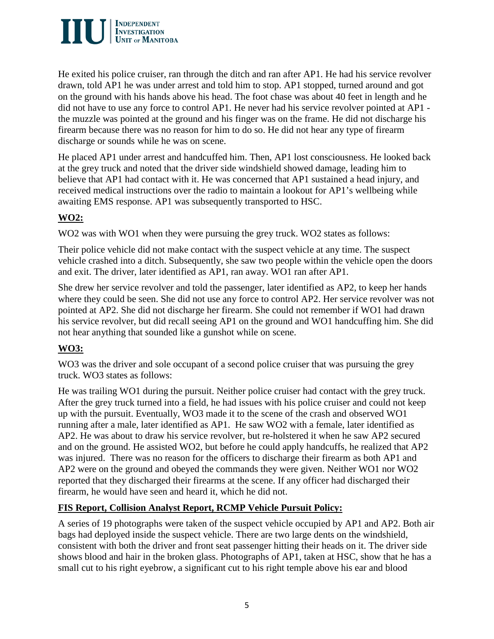

He exited his police cruiser, ran through the ditch and ran after AP1. He had his service revolver drawn, told AP1 he was under arrest and told him to stop. AP1 stopped, turned around and got on the ground with his hands above his head. The foot chase was about 40 feet in length and he did not have to use any force to control AP1. He never had his service revolver pointed at AP1 the muzzle was pointed at the ground and his finger was on the frame. He did not discharge his firearm because there was no reason for him to do so. He did not hear any type of firearm discharge or sounds while he was on scene.

He placed AP1 under arrest and handcuffed him. Then, AP1 lost consciousness. He looked back at the grey truck and noted that the driver side windshield showed damage, leading him to believe that AP1 had contact with it. He was concerned that AP1 sustained a head injury, and received medical instructions over the radio to maintain a lookout for AP1's wellbeing while awaiting EMS response. AP1 was subsequently transported to HSC.

# **WO2:**

WO2 was with WO1 when they were pursuing the grey truck. WO2 states as follows:

Their police vehicle did not make contact with the suspect vehicle at any time. The suspect vehicle crashed into a ditch. Subsequently, she saw two people within the vehicle open the doors and exit. The driver, later identified as AP1, ran away. WO1 ran after AP1.

She drew her service revolver and told the passenger, later identified as AP2, to keep her hands where they could be seen. She did not use any force to control AP2. Her service revolver was not pointed at AP2. She did not discharge her firearm. She could not remember if WO1 had drawn his service revolver, but did recall seeing AP1 on the ground and WO1 handcuffing him. She did not hear anything that sounded like a gunshot while on scene.

# **WO3:**

WO3 was the driver and sole occupant of a second police cruiser that was pursuing the grey truck. WO3 states as follows:

He was trailing WO1 during the pursuit. Neither police cruiser had contact with the grey truck. After the grey truck turned into a field, he had issues with his police cruiser and could not keep up with the pursuit. Eventually, WO3 made it to the scene of the crash and observed WO1 running after a male, later identified as AP1. He saw WO2 with a female, later identified as AP2. He was about to draw his service revolver, but re-holstered it when he saw AP2 secured and on the ground. He assisted WO2, but before he could apply handcuffs, he realized that AP2 was injured. There was no reason for the officers to discharge their firearm as both AP1 and AP2 were on the ground and obeyed the commands they were given. Neither WO1 nor WO2 reported that they discharged their firearms at the scene. If any officer had discharged their firearm, he would have seen and heard it, which he did not.

# **FIS Report, Collision Analyst Report, RCMP Vehicle Pursuit Policy:**

A series of 19 photographs were taken of the suspect vehicle occupied by AP1 and AP2. Both air bags had deployed inside the suspect vehicle. There are two large dents on the windshield, consistent with both the driver and front seat passenger hitting their heads on it. The driver side shows blood and hair in the broken glass. Photographs of AP1, taken at HSC, show that he has a small cut to his right eyebrow, a significant cut to his right temple above his ear and blood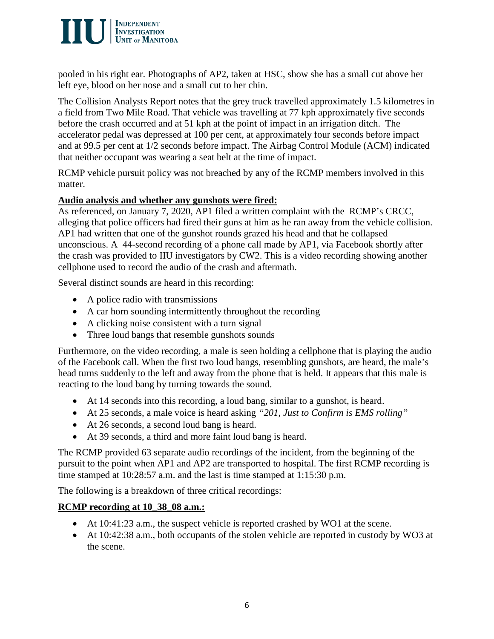

pooled in his right ear. Photographs of AP2, taken at HSC, show she has a small cut above her left eye, blood on her nose and a small cut to her chin.

The Collision Analysts Report notes that the grey truck travelled approximately 1.5 kilometres in a field from Two Mile Road. That vehicle was travelling at 77 kph approximately five seconds before the crash occurred and at 51 kph at the point of impact in an irrigation ditch. The accelerator pedal was depressed at 100 per cent, at approximately four seconds before impact and at 99.5 per cent at 1/2 seconds before impact. The Airbag Control Module (ACM) indicated that neither occupant was wearing a seat belt at the time of impact.

RCMP vehicle pursuit policy was not breached by any of the RCMP members involved in this matter.

### **Audio analysis and whether any gunshots were fired:**

As referenced, on January 7, 2020, AP1 filed a written complaint with the RCMP's CRCC, alleging that police officers had fired their guns at him as he ran away from the vehicle collision. AP1 had written that one of the gunshot rounds grazed his head and that he collapsed unconscious. A 44-second recording of a phone call made by AP1, via Facebook shortly after the crash was provided to IIU investigators by CW2. This is a video recording showing another cellphone used to record the audio of the crash and aftermath.

Several distinct sounds are heard in this recording:

- A police radio with transmissions
- A car horn sounding intermittently throughout the recording
- A clicking noise consistent with a turn signal
- Three loud bangs that resemble gunshots sounds

Furthermore, on the video recording, a male is seen holding a cellphone that is playing the audio of the Facebook call. When the first two loud bangs, resembling gunshots, are heard, the male's head turns suddenly to the left and away from the phone that is held. It appears that this male is reacting to the loud bang by turning towards the sound.

- At 14 seconds into this recording, a loud bang, similar to a gunshot, is heard.
- At 25 seconds, a male voice is heard asking *"201, Just to Confirm is EMS rolling"*
- At 26 seconds, a second loud bang is heard.
- At 39 seconds, a third and more faint loud bang is heard.

The RCMP provided 63 separate audio recordings of the incident, from the beginning of the pursuit to the point when AP1 and AP2 are transported to hospital. The first RCMP recording is time stamped at 10:28:57 a.m. and the last is time stamped at 1:15:30 p.m.

The following is a breakdown of three critical recordings:

# **RCMP recording at 10\_38\_08 a.m.:**

- At 10:41:23 a.m., the suspect vehicle is reported crashed by WO1 at the scene.
- At 10:42:38 a.m., both occupants of the stolen vehicle are reported in custody by WO3 at the scene.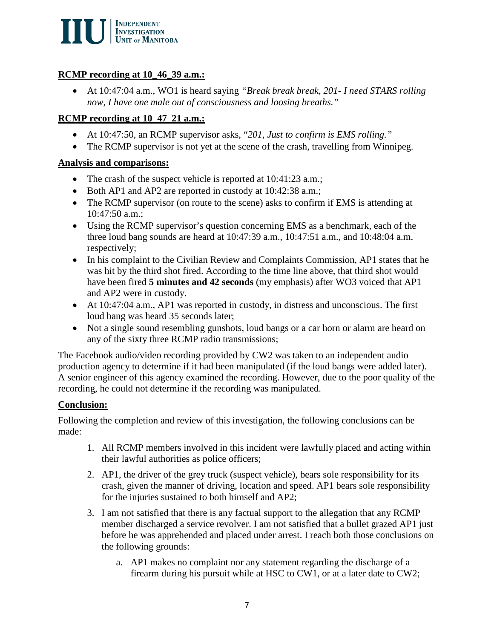

## **RCMP recording at 10\_46\_39 a.m.:**

• At 10:47:04 a.m., WO1 is heard saying *"Break break break, 201- I need STARS rolling now, I have one male out of consciousness and loosing breaths."*

## **RCMP recording at 10\_47\_21 a.m.:**

- At 10:47:50, an RCMP supervisor asks, "*201*, *Just to confirm is EMS rolling."*
- The RCMP supervisor is not yet at the scene of the crash, travelling from Winnipeg.

## **Analysis and comparisons:**

- The crash of the suspect vehicle is reported at 10:41:23 a.m.;
- Both AP1 and AP2 are reported in custody at 10:42:38 a.m.;
- The RCMP supervisor (on route to the scene) asks to confirm if EMS is attending at 10:47:50 a.m.;
- Using the RCMP supervisor's question concerning EMS as a benchmark, each of the three loud bang sounds are heard at 10:47:39 a.m., 10:47:51 a.m., and 10:48:04 a.m. respectively;
- In his complaint to the Civilian Review and Complaints Commission, AP1 states that he was hit by the third shot fired. According to the time line above, that third shot would have been fired **5 minutes and 42 seconds** (my emphasis) after WO3 voiced that AP1 and AP2 were in custody.
- At 10:47:04 a.m., AP1 was reported in custody, in distress and unconscious. The first loud bang was heard 35 seconds later;
- Not a single sound resembling gunshots, loud bangs or a car horn or alarm are heard on any of the sixty three RCMP radio transmissions;

The Facebook audio/video recording provided by CW2 was taken to an independent audio production agency to determine if it had been manipulated (if the loud bangs were added later). A senior engineer of this agency examined the recording. However, due to the poor quality of the recording, he could not determine if the recording was manipulated.

# **Conclusion:**

Following the completion and review of this investigation, the following conclusions can be made:

- 1. All RCMP members involved in this incident were lawfully placed and acting within their lawful authorities as police officers;
- 2. AP1, the driver of the grey truck (suspect vehicle), bears sole responsibility for its crash, given the manner of driving, location and speed. AP1 bears sole responsibility for the injuries sustained to both himself and AP2;
- 3. I am not satisfied that there is any factual support to the allegation that any RCMP member discharged a service revolver. I am not satisfied that a bullet grazed AP1 just before he was apprehended and placed under arrest. I reach both those conclusions on the following grounds:
	- a. AP1 makes no complaint nor any statement regarding the discharge of a firearm during his pursuit while at HSC to CW1, or at a later date to CW2;